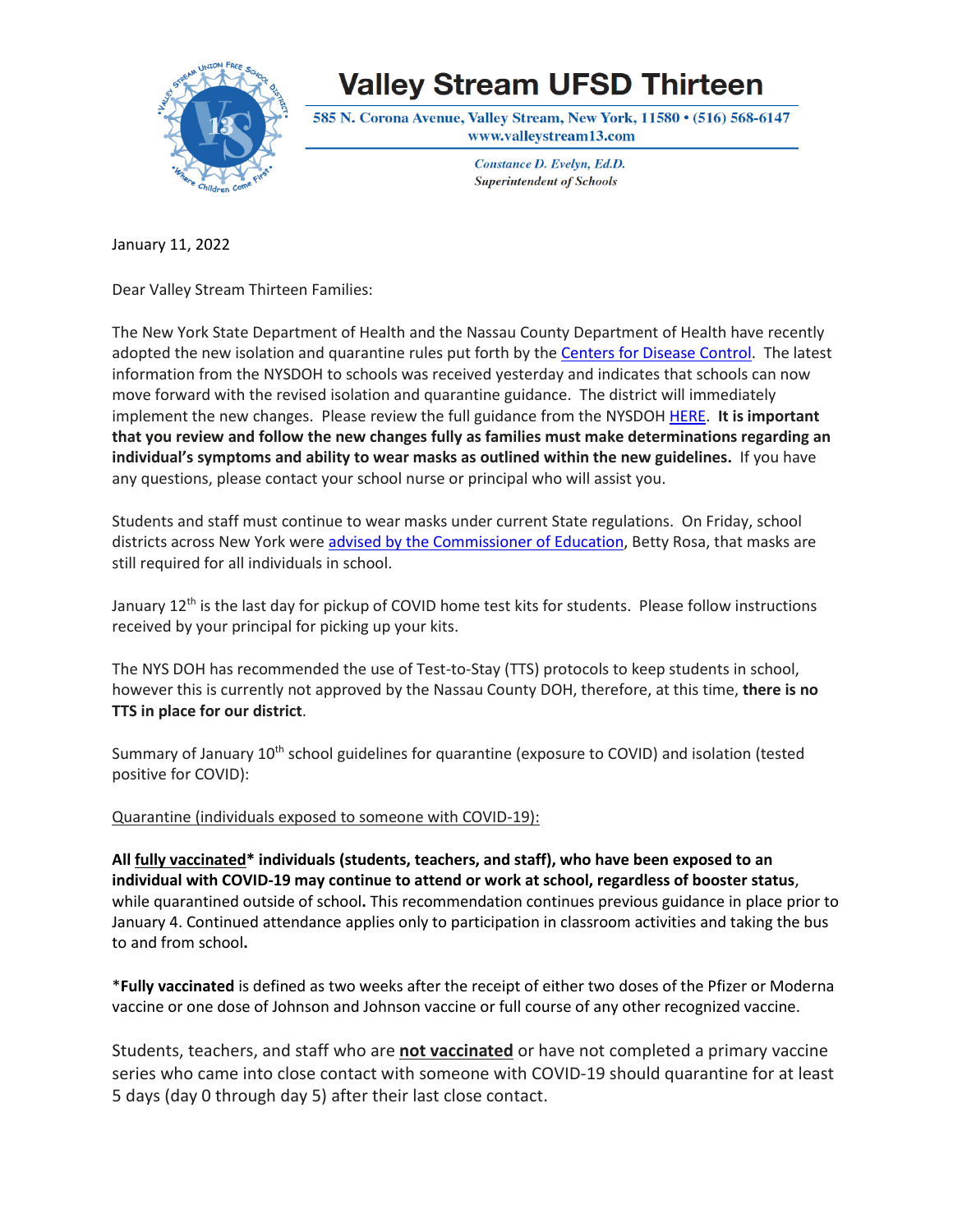

## **Valley Stream UFSD Thirteen**

585 N. Corona Avenue, Valley Stream, New York, 11580 • (516) 568-6147 www.valleystream13.com

> Constance D. Evelyn, Ed.D. **Superintendent of Schools**

January 11, 2022

Dear Valley Stream Thirteen Families:

The New York State Department of Health and the Nassau County Department of Health have recently adopted the new isolation and quarantine rules put forth by the Centers for Disease [Control.](https://www.cdc.gov/coronavirus/2019-ncov/community/schools-childcare/k-12-contact-tracing/about-isolation.html#print) The latest information from the NYSDOH to schools was received yesterday and indicates that schools can now move forward with the revised isolation and quarantine guidance. The district will immediately implement the new changes. Please review the full guidance from the NYSDOH [HERE.](https://coronavirus.health.ny.gov/system/files/documents/2022/01/nys_updated_isolation_quarantine_guidance_01042022.pdf) **It is important that you review and follow the new changes fully as families must make determinations regarding an individual's symptoms and ability to wear masks as outlined within the new guidelines.** If you have any questions, please contact your school nurse or principal who will assist you.

Students and staff must continue to wear masks under current State regulations. On Friday, school districts across New York were advised by the [Commissioner](http://www.nysed.gov/news/2022/statement-commissioner-betty-rosa-nassau-county-executive-order) of Education, Betty Rosa, that masks are still required for all individuals in school.

January 12<sup>th</sup> is the last day for pickup of COVID home test kits for students. Please follow instructions received by your principal for picking up your kits.

The NYS DOH has recommended the use of Test-to-Stay (TTS) protocols to keep students in school, however this is currently not approved by the Nassau County DOH, therefore, at this time, **there is no TTS in place for our district**.

Summary of January 10<sup>th</sup> school guidelines for quarantine (exposure to COVID) and isolation (tested positive for COVID):

Quarantine (individuals exposed to someone with COVID-19):

**All fully vaccinated\* individuals (students, teachers, and staff), who have been exposed to an individual with COVID-19 may continue to attend or work at school, regardless of booster status**, while quarantined outside of school**.** This recommendation continues previous guidance in place prior to January 4. Continued attendance applies only to participation in classroom activities and taking the bus to and from school**.** 

\***Fully vaccinated** is defined as two weeks after the receipt of either two doses of the Pfizer or Moderna vaccine or one dose of Johnson and Johnson vaccine or full course of any other recognized vaccine.

Students, teachers, and staff who are **not vaccinated** or have not completed a primary vaccine series who came into close contact with someone with COVID-19 should quarantine for at least 5 days (day 0 through day 5) after their last close contact.